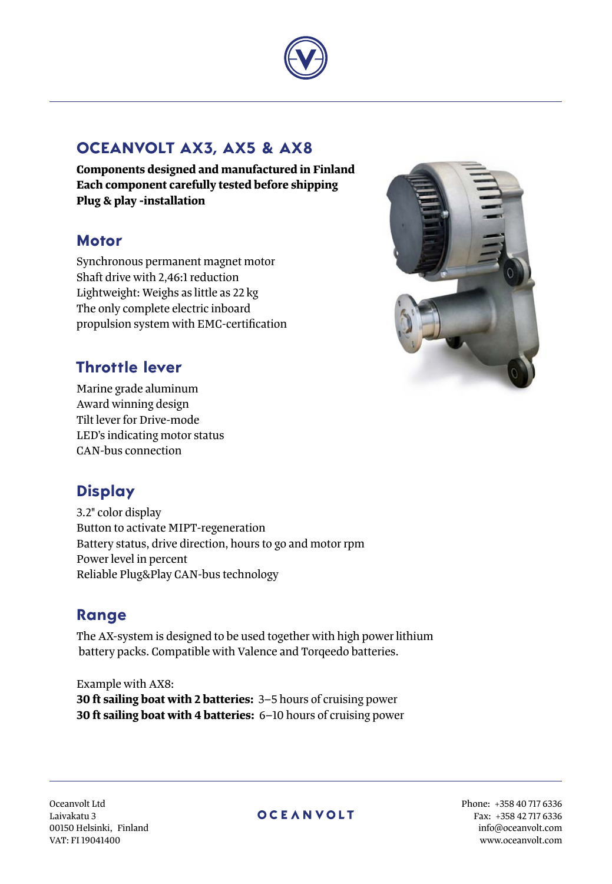

## **Oceanvolt AX3, AX5 & AX8**

**Components designed and manufactured in Finland Each component carefully tested before shipping Plug & play -installation**

## **Motor**

Synchronous permanent magnet motor Shaft drive with 2,46:1 reduction Lightweight: Weighs as little as 22 kg The only complete electric inboard propulsion system with EMC-certification



## **Throttle lever**

Marine grade aluminum Award winning design Tilt lever for Drive-mode LED's indicating motor status CAN-bus connection

## **Display**

3.2" color display Button to activate MIPT-regeneration Battery status, drive direction, hours to go and motor rpm Power level in percent Reliable Plug&Play CAN-bus technology

## **Range**

The AX-system is designed to be used together with high power lithium battery packs. Compatible with Valence and Torqeedo batteries.

Example with AX8: **30 ft sailing boat with 2 batteries:** 3–5 hours of cruising power **30 ft sailing boat with 4 batteries:** 6–10 hours of cruising power

Oceanvolt Ltd Laivakatu 3 00150 Helsinki, Finland VAT: FI 19041400

### **OCEANVOLT**

Phone: +358 40 717 6336 Fax: +358 42 717 6336 info@oceanvolt.com www.oceanvolt.com